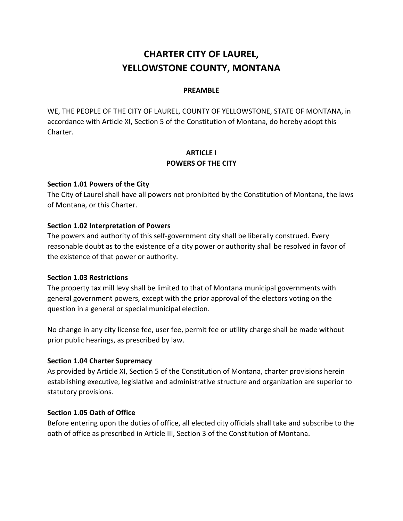# **CHARTER CITY OF LAUREL, YELLOWSTONE COUNTY, MONTANA**

# **PREAMBLE**

WE, THE PEOPLE OF THE CITY OF LAUREL, COUNTY OF YELLOWSTONE, STATE OF MONTANA, in accordance with Article XI, Section 5 of the Constitution of Montana, do hereby adopt this Charter.

# **ARTICLE I POWERS OF THE CITY**

# **Section 1.01 Powers of the City**

The City of Laurel shall have all powers not prohibited by the Constitution of Montana, the laws of Montana, or this Charter.

# **Section 1.02 Interpretation of Powers**

The powers and authority of this self-government city shall be liberally construed. Every reasonable doubt as to the existence of a city power or authority shall be resolved in favor of the existence of that power or authority.

#### **Section 1.03 Restrictions**

The property tax mill levy shall be limited to that of Montana municipal governments with general government powers, except with the prior approval of the electors voting on the question in a general or special municipal election.

No change in any city license fee, user fee, permit fee or utility charge shall be made without prior public hearings, as prescribed by law.

# **Section 1.04 Charter Supremacy**

As provided by Article XI, Section 5 of the Constitution of Montana, charter provisions herein establishing executive, legislative and administrative structure and organization are superior to statutory provisions.

#### **Section 1.05 Oath of Office**

Before entering upon the duties of office, all elected city officials shall take and subscribe to the oath of office as prescribed in Article III, Section 3 of the Constitution of Montana.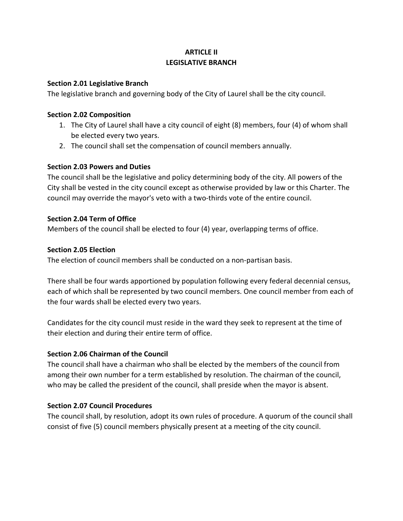# **ARTICLE II LEGISLATIVE BRANCH**

# **Section 2.01 Legislative Branch**

The legislative branch and governing body of the City of Laurel shall be the city council.

# **Section 2.02 Composition**

- 1. The City of Laurel shall have a city council of eight (8) members, four (4) of whom shall be elected every two years.
- 2. The council shall set the compensation of council members annually.

# **Section 2.03 Powers and Duties**

The council shall be the legislative and policy determining body of the city. All powers of the City shall be vested in the city council except as otherwise provided by law or this Charter. The council may override the mayor's veto with a two-thirds vote of the entire council.

# **Section 2.04 Term of Office**

Members of the council shall be elected to four (4) year, overlapping terms of office.

# **Section 2.05 Election**

The election of council members shall be conducted on a non-partisan basis.

There shall be four wards apportioned by population following every federal decennial census, each of which shall be represented by two council members. One council member from each of the four wards shall be elected every two years.

Candidates for the city council must reside in the ward they seek to represent at the time of their election and during their entire term of office.

# **Section 2.06 Chairman of the Council**

The council shall have a chairman who shall be elected by the members of the council from among their own number for a term established by resolution. The chairman of the council, who may be called the president of the council, shall preside when the mayor is absent.

# **Section 2.07 Council Procedures**

The council shall, by resolution, adopt its own rules of procedure. A quorum of the council shall consist of five (5) council members physically present at a meeting of the city council.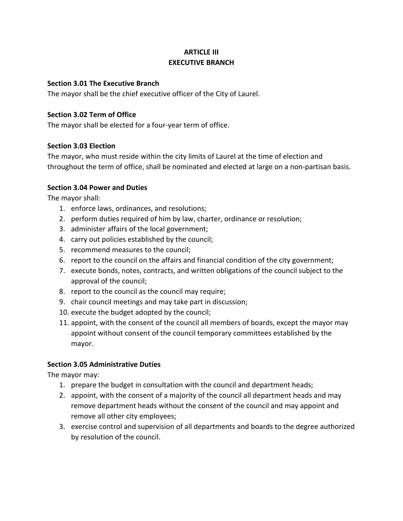# **ARTICLE III EXECUTIVE BRANCH**

# **Section 3.01 The Executive Branch**

The mayor shall be the chief executive officer of the City of Laurel.

# **Section 3.02 Term of Office**

The mayor shall be elected for a four-year term of office.

# **Section 3.03 Election**

The mayor, who must reside within the city limits of Laurel at the time of election and throughout the term of office, shall be nominated and elected at large on a non-partisan basis.

# **Section 3.04 Power and Duties**

The mayor shall:

- 1. enforce laws, ordinances, and resolutions;
- 2. perform duties required of him by law, charter, ordinance or resolution;
- 3. administer affairs of the local government;
- 4. carry out policies established by the council;
- 5. recommend measures to the council;
- 6. report to the council on the affairs and financial condition of the city government;
- 7. execute bonds, notes, contracts, and written obligations of the council subject to the approval of the council;
- 8. report to the council as the council may require;
- 9. chair council meetings and may take part in discussion;
- 10. execute the budget adopted by the council;
- 11. appoint, with the consent of the council all members of boards, except the mayor may appoint without consent of the council temporary committees established by the mayor.

#### **Section 3.05 Administrative Duties**

The mayor may:

- 1. prepare the budget in consultation with the council and department heads;
- 2. appoint, with the consent of a majority of the council all department heads and may remove department heads without the consent of the council and may appoint and remove all other city employees;
- 3. exercise control and supervision of all departments and boards to the degree authorized by resolution of the council.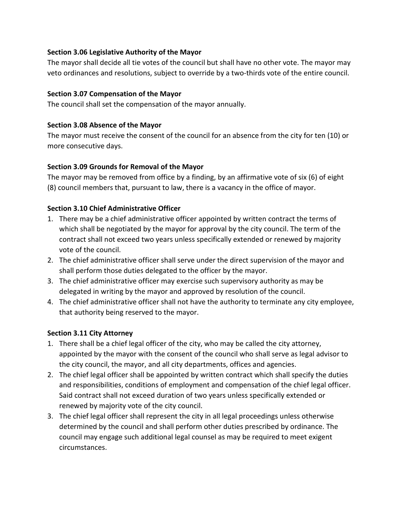# **Section 3.06 Legislative Authority of the Mayor**

The mayor shall decide all tie votes of the council but shall have no other vote. The mayor may veto ordinances and resolutions, subject to override by a two-thirds vote of the entire council.

# **Section 3.07 Compensation of the Mayor**

The council shall set the compensation of the mayor annually.

# **Section 3.08 Absence of the Mayor**

The mayor must receive the consent of the council for an absence from the city for ten (10) or more consecutive days.

# **Section 3.09 Grounds for Removal of the Mayor**

The mayor may be removed from office by a finding, by an affirmative vote of six (6) of eight (8) council members that, pursuant to law, there is a vacancy in the office of mayor.

# **Section 3.10 Chief Administrative Officer**

- 1. There may be a chief administrative officer appointed by written contract the terms of which shall be negotiated by the mayor for approval by the city council. The term of the contract shall not exceed two years unless specifically extended or renewed by majority vote of the council.
- 2. The chief administrative officer shall serve under the direct supervision of the mayor and shall perform those duties delegated to the officer by the mayor.
- 3. The chief administrative officer may exercise such supervisory authority as may be delegated in writing by the mayor and approved by resolution of the council.
- 4. The chief administrative officer shall not have the authority to terminate any city employee, that authority being reserved to the mayor.

# **Section 3.11 City Attorney**

- 1. There shall be a chief legal officer of the city, who may be called the city attorney, appointed by the mayor with the consent of the council who shall serve as legal advisor to the city council, the mayor, and all city departments, offices and agencies.
- 2. The chief legal officer shall be appointed by written contract which shall specify the duties and responsibilities, conditions of employment and compensation of the chief legal officer. Said contract shall not exceed duration of two years unless specifically extended or renewed by majority vote of the city council.
- 3. The chief legal officer shall represent the city in all legal proceedings unless otherwise determined by the council and shall perform other duties prescribed by ordinance. The council may engage such additional legal counsel as may be required to meet exigent circumstances.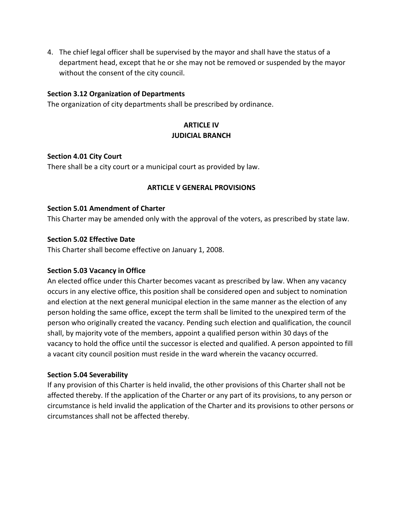4. The chief legal officer shall be supervised by the mayor and shall have the status of a department head, except that he or she may not be removed or suspended by the mayor without the consent of the city council.

# **Section 3.12 Organization of Departments**

The organization of city departments shall be prescribed by ordinance.

# **ARTICLE IV JUDICIAL BRANCH**

#### **Section 4.01 City Court**

There shall be a city court or a municipal court as provided by law.

#### **ARTICLE V GENERAL PROVISIONS**

#### **Section 5.01 Amendment of Charter**

This Charter may be amended only with the approval of the voters, as prescribed by state law.

#### **Section 5.02 Effective Date**

This Charter shall become effective on January 1, 2008.

#### **Section 5.03 Vacancy in Office**

An elected office under this Charter becomes vacant as prescribed by law. When any vacancy occurs in any elective office, this position shall be considered open and subject to nomination and election at the next general municipal election in the same manner as the election of any person holding the same office, except the term shall be limited to the unexpired term of the person who originally created the vacancy. Pending such election and qualification, the council shall, by majority vote of the members, appoint a qualified person within 30 days of the vacancy to hold the office until the successor is elected and qualified. A person appointed to fill a vacant city council position must reside in the ward wherein the vacancy occurred.

#### **Section 5.04 Severability**

If any provision of this Charter is held invalid, the other provisions of this Charter shall not be affected thereby. If the application of the Charter or any part of its provisions, to any person or circumstance is held invalid the application of the Charter and its provisions to other persons or circumstances shall not be affected thereby.